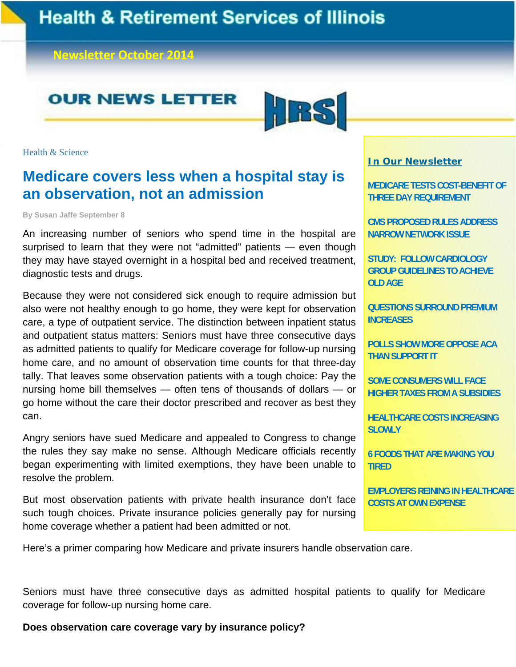### **Health & Retirement Services of Illinois**

**Newsletter October 2014**





Health & Science

### **Medicare covers less when a hospital stay is an observation, not an admission**

**By Susan Jaffe September 8** 

An increasing number of seniors who spend time in the hospital are surprised to learn that they were not "admitted" patients — even though they may have stayed overnight in a hospital bed and received treatment, diagnostic tests and drugs.

Because they were not considered sick enough to require admission but also were not healthy enough to go home, they were kept for observation care, a type of outpatient service. The distinction between inpatient status and outpatient status matters: Seniors must have three consecutive days as admitted patients to qualify for Medicare coverage for follow-up nursing home care, and no amount of observation time counts for that three-day tally. That leaves some observation patients with a tough choice: Pay the nursing home bill themselves — often tens of thousands of dollars — or go home without the care their doctor prescribed and recover as best they can.

Angry seniors have sued Medicare and appealed to Congress to change the rules they say make no sense. Although Medicare officials recently began experimenting with limited exemptions, they have been unable to resolve the problem.

But most observation patients with private health insurance don't face such tough choices. Private insurance policies generally pay for nursing home coverage whether a patient had been admitted or not.

#### **In Our Newsletter**

**MEDICARE TESTS COST-BENEFIT OF THREE DAY REQUIREMENT** 

**CMS PROPOSED RULES ADDRESS NARROW NETWORK ISSUE** 

**STUDY: FOLLOW CARDIOLOGY GROUP GUIDELINES TO ACHIEVE OLD AGE** 

**QUESTIONS SURROUND PREMIUM INCREASES** 

**POLLS SHOW MORE OPPOSE ACA THAN SUPPORT IT** 

**SOME CONSUMERS WILL FACE HIGHER TAXES FROM A SUBSIDIES** 

**HEALTHCARE COSTS INCREASING SLOWLY** 

**6 FOODS THAT ARE MAKING YOU TIRED** 

**EMPLOYERS REINING IN HEALTHCARE COSTS AT OWN EXPENSE** 

Here's a primer comparing how Medicare and private insurers handle observation care.

Seniors must have three consecutive days as admitted hospital patients to qualify for Medicare coverage for follow-up nursing home care.

**Does observation care coverage vary by insurance policy?**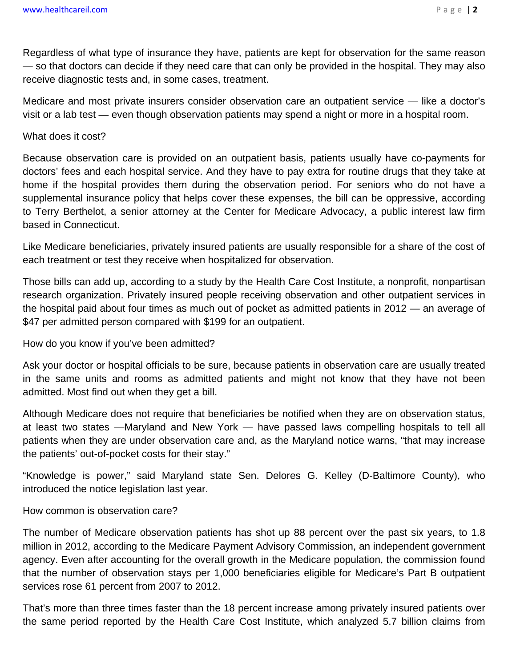Regardless of what type of insurance they have, patients are kept for observation for the same reason — so that doctors can decide if they need care that can only be provided in the hospital. They may also receive diagnostic tests and, in some cases, treatment.

Medicare and most private insurers consider observation care an outpatient service — like a doctor's visit or a lab test — even though observation patients may spend a night or more in a hospital room.

### What does it cost?

Because observation care is provided on an outpatient basis, patients usually have co-payments for doctors' fees and each hospital service. And they have to pay extra for routine drugs that they take at home if the hospital provides them during the observation period. For seniors who do not have a supplemental insurance policy that helps cover these expenses, the bill can be oppressive, according to Terry Berthelot, a senior attorney at the Center for Medicare Advocacy, a public interest law firm based in Connecticut.

Like Medicare beneficiaries, privately insured patients are usually responsible for a share of the cost of each treatment or test they receive when hospitalized for observation.

Those bills can add up, according to a study by the Health Care Cost Institute, a nonprofit, nonpartisan research organization. Privately insured people receiving observation and other outpatient services in the hospital paid about four times as much out of pocket as admitted patients in 2012 — an average of \$47 per admitted person compared with \$199 for an outpatient.

### How do you know if you've been admitted?

Ask your doctor or hospital officials to be sure, because patients in observation care are usually treated in the same units and rooms as admitted patients and might not know that they have not been admitted. Most find out when they get a bill.

Although Medicare does not require that beneficiaries be notified when they are on observation status, at least two states —Maryland and New York — have passed laws compelling hospitals to tell all patients when they are under observation care and, as the Maryland notice warns, "that may increase the patients' out-of-pocket costs for their stay."

"Knowledge is power," said Maryland state Sen. Delores G. Kelley (D-Baltimore County), who introduced the notice legislation last year.

### How common is observation care?

The number of Medicare observation patients has shot up 88 percent over the past six years, to 1.8 million in 2012, according to the Medicare Payment Advisory Commission, an independent government agency. Even after accounting for the overall growth in the Medicare population, the commission found that the number of observation stays per 1,000 beneficiaries eligible for Medicare's Part B outpatient services rose 61 percent from 2007 to 2012.

That's more than three times faster than the 18 percent increase among privately insured patients over the same period reported by the Health Care Cost Institute, which analyzed 5.7 billion claims from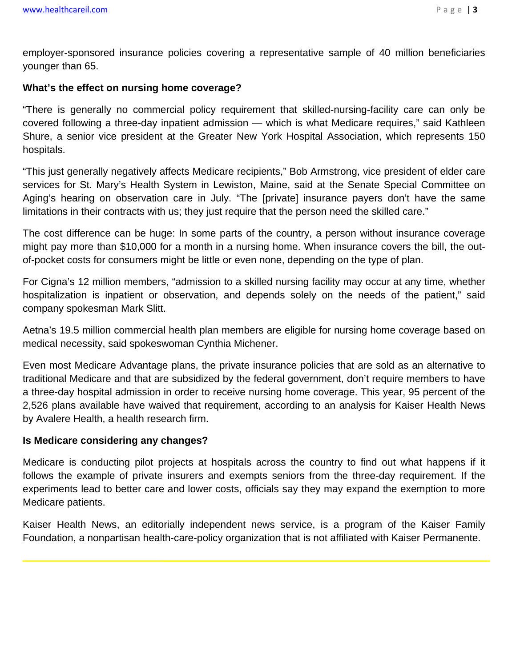employer-sponsored insurance policies covering a representative sample of 40 million beneficiaries younger than 65.

### **What's the effect on nursing home coverage?**

"There is generally no commercial policy requirement that skilled-nursing-facility care can only be covered following a three-day inpatient admission — which is what Medicare requires," said Kathleen Shure, a senior vice president at the Greater New York Hospital Association, which represents 150 hospitals.

"This just generally negatively affects Medicare recipients," Bob Armstrong, vice president of elder care services for St. Mary's Health System in Lewiston, Maine, said at the Senate Special Committee on Aging's hearing on observation care in July. "The [private] insurance payers don't have the same limitations in their contracts with us; they just require that the person need the skilled care."

The cost difference can be huge: In some parts of the country, a person without insurance coverage might pay more than \$10,000 for a month in a nursing home. When insurance covers the bill, the outof-pocket costs for consumers might be little or even none, depending on the type of plan.

For Cigna's 12 million members, "admission to a skilled nursing facility may occur at any time, whether hospitalization is inpatient or observation, and depends solely on the needs of the patient," said company spokesman Mark Slitt.

Aetna's 19.5 million commercial health plan members are eligible for nursing home coverage based on medical necessity, said spokeswoman Cynthia Michener.

Even most Medicare Advantage plans, the private insurance policies that are sold as an alternative to traditional Medicare and that are subsidized by the federal government, don't require members to have a three-day hospital admission in order to receive nursing home coverage. This year, 95 percent of the 2,526 plans available have waived that requirement, according to an analysis for Kaiser Health News by Avalere Health, a health research firm.

#### **Is Medicare considering any changes?**

l

Medicare is conducting pilot projects at hospitals across the country to find out what happens if it follows the example of private insurers and exempts seniors from the three-day requirement. If the experiments lead to better care and lower costs, officials say they may expand the exemption to more Medicare patients.

Kaiser Health News, an editorially independent news service, is a program of the Kaiser Family Foundation, a nonpartisan health-care-policy organization that is not affiliated with Kaiser Permanente.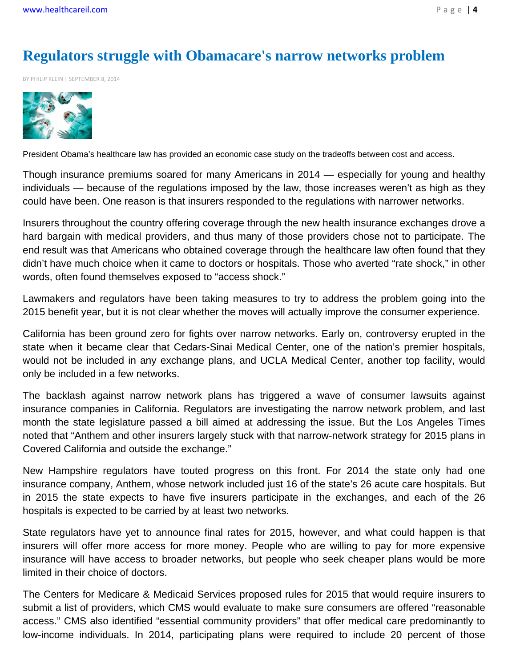### **Regulators struggle with Obamacare's narrow networks problem**

BY PHILIP KLEIN | SEPTEMBER 8, 2014



President Obama's healthcare law has provided an economic case study on the tradeoffs between cost and access.

Though insurance premiums soared for many Americans in 2014 — especially for young and healthy individuals — because of the regulations imposed by the law, those increases weren't as high as they could have been. One reason is that insurers responded to the regulations with narrower networks.

Insurers throughout the country offering coverage through the new health insurance exchanges drove a hard bargain with medical providers, and thus many of those providers chose not to participate. The end result was that Americans who obtained coverage through the healthcare law often found that they didn't have much choice when it came to doctors or hospitals. Those who averted "rate shock," in other words, often found themselves exposed to "access shock."

Lawmakers and regulators have been taking measures to try to address the problem going into the 2015 benefit year, but it is not clear whether the moves will actually improve the consumer experience.

California has been ground zero for fights over narrow networks. Early on, controversy erupted in the state when it became clear that Cedars-Sinai Medical Center, one of the nation's premier hospitals, would not be included in any exchange plans, and UCLA Medical Center, another top facility, would only be included in a few networks.

The backlash against narrow network plans has triggered a wave of consumer lawsuits against insurance companies in California. Regulators are investigating the narrow network problem, and last month the state legislature passed a bill aimed at addressing the issue. But the Los Angeles Times noted that "Anthem and other insurers largely stuck with that narrow-network strategy for 2015 plans in Covered California and outside the exchange."

New Hampshire regulators have touted progress on this front. For 2014 the state only had one insurance company, Anthem, whose network included just 16 of the state's 26 acute care hospitals. But in 2015 the state expects to have five insurers participate in the exchanges, and each of the 26 hospitals is expected to be carried by at least two networks.

State regulators have yet to announce final rates for 2015, however, and what could happen is that insurers will offer more access for more money. People who are willing to pay for more expensive insurance will have access to broader networks, but people who seek cheaper plans would be more limited in their choice of doctors.

The Centers for Medicare & Medicaid Services proposed rules for 2015 that would require insurers to submit a list of providers, which CMS would evaluate to make sure consumers are offered "reasonable access." CMS also identified "essential community providers" that offer medical care predominantly to low-income individuals. In 2014, participating plans were required to include 20 percent of those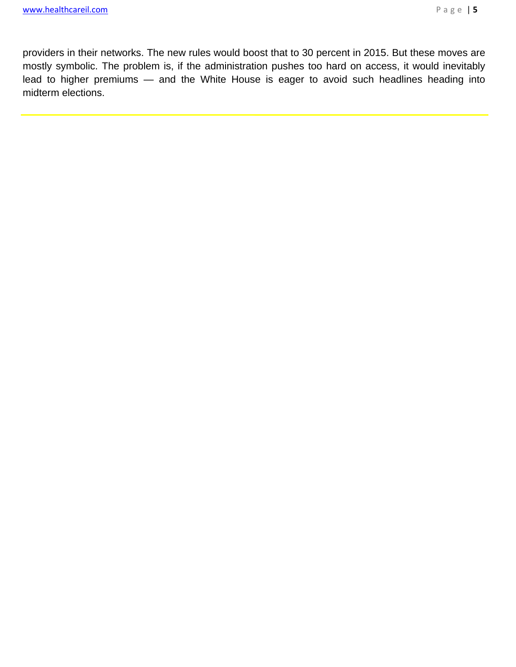i,

providers in their networks. The new rules would boost that to 30 percent in 2015. But these moves are mostly symbolic. The problem is, if the administration pushes too hard on access, it would inevitably lead to higher premiums — and the White House is eager to avoid such headlines heading into midterm elections.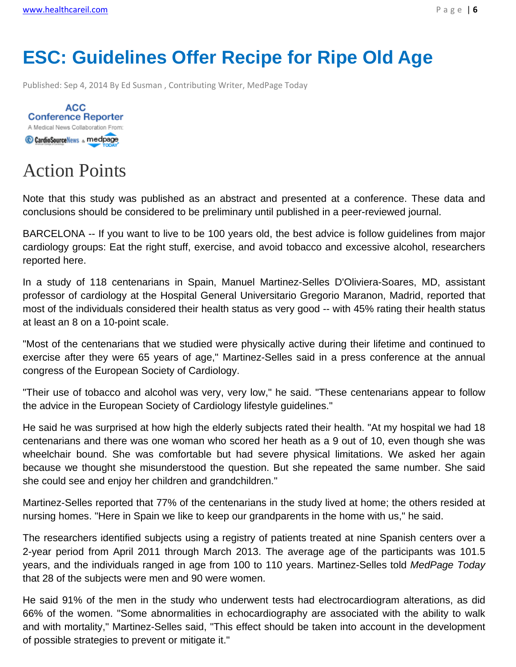## **ESC: Guidelines Offer Recipe for Ripe Old Age**

Published: Sep 4, 2014 By Ed Susman , Contributing Writer, MedPage Today



## Action Points

Note that this study was published as an abstract and presented at a conference. These data and conclusions should be considered to be preliminary until published in a peer-reviewed journal.

BARCELONA -- If you want to live to be 100 years old, the best advice is follow guidelines from major cardiology groups: Eat the right stuff, exercise, and avoid tobacco and excessive alcohol, researchers reported here.

In a study of 118 centenarians in Spain, Manuel Martinez-Selles D'Oliviera-Soares, MD, assistant professor of cardiology at the Hospital General Universitario Gregorio Maranon, Madrid, reported that most of the individuals considered their health status as very good -- with 45% rating their health status at least an 8 on a 10-point scale.

"Most of the centenarians that we studied were physically active during their lifetime and continued to exercise after they were 65 years of age," Martinez-Selles said in a press conference at the annual congress of the European Society of Cardiology.

"Their use of tobacco and alcohol was very, very low," he said. "These centenarians appear to follow the advice in the European Society of Cardiology lifestyle guidelines."

He said he was surprised at how high the elderly subjects rated their health. "At my hospital we had 18 centenarians and there was one woman who scored her heath as a 9 out of 10, even though she was wheelchair bound. She was comfortable but had severe physical limitations. We asked her again because we thought she misunderstood the question. But she repeated the same number. She said she could see and enjoy her children and grandchildren."

Martinez-Selles reported that 77% of the centenarians in the study lived at home; the others resided at nursing homes. "Here in Spain we like to keep our grandparents in the home with us," he said.

The researchers identified subjects using a registry of patients treated at nine Spanish centers over a 2-year period from April 2011 through March 2013. The average age of the participants was 101.5 years, and the individuals ranged in age from 100 to 110 years. Martinez-Selles told *MedPage Today* that 28 of the subjects were men and 90 were women.

He said 91% of the men in the study who underwent tests had electrocardiogram alterations, as did 66% of the women. "Some abnormalities in echocardiography are associated with the ability to walk and with mortality," Martinez-Selles said, "This effect should be taken into account in the development of possible strategies to prevent or mitigate it."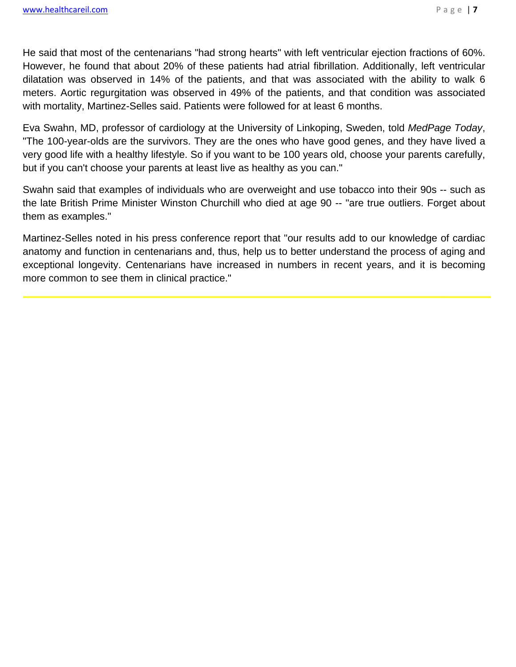He said that most of the centenarians "had strong hearts" with left ventricular ejection fractions of 60%. However, he found that about 20% of these patients had atrial fibrillation. Additionally, left ventricular dilatation was observed in 14% of the patients, and that was associated with the ability to walk 6 meters. Aortic regurgitation was observed in 49% of the patients, and that condition was associated with mortality, Martinez-Selles said. Patients were followed for at least 6 months.

Eva Swahn, MD, professor of cardiology at the University of Linkoping, Sweden, told *MedPage Today*, "The 100-year-olds are the survivors. They are the ones who have good genes, and they have lived a very good life with a healthy lifestyle. So if you want to be 100 years old, choose your parents carefully, but if you can't choose your parents at least live as healthy as you can."

Swahn said that examples of individuals who are overweight and use tobacco into their 90s -- such as the late British Prime Minister Winston Churchill who died at age 90 -- "are true outliers. Forget about them as examples."

Martinez-Selles noted in his press conference report that "our results add to our knowledge of cardiac anatomy and function in centenarians and, thus, help us to better understand the process of aging and exceptional longevity. Centenarians have increased in numbers in recent years, and it is becoming more common to see them in clinical practice."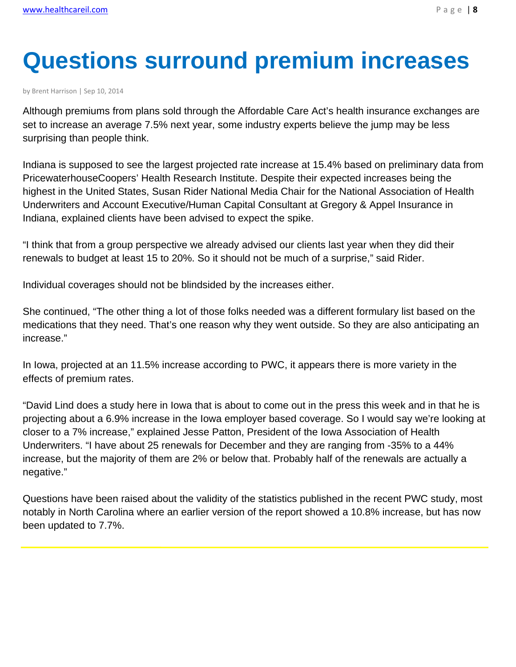# **Questions surround premium increases**

by Brent Harrison | Sep 10, 2014

Although premiums from plans sold through the Affordable Care Act's health insurance exchanges are set to increase an average 7.5% next year, some industry experts believe the jump may be less surprising than people think.

Indiana is supposed to see the largest projected rate increase at 15.4% based on preliminary data from PricewaterhouseCoopers' Health Research Institute. Despite their expected increases being the highest in the United States, Susan Rider National Media Chair for the National Association of Health Underwriters and Account Executive/Human Capital Consultant at Gregory & Appel Insurance in Indiana, explained clients have been advised to expect the spike.

"I think that from a group perspective we already advised our clients last year when they did their renewals to budget at least 15 to 20%. So it should not be much of a surprise," said Rider.

Individual coverages should not be blindsided by the increases either.

She continued, "The other thing a lot of those folks needed was a different formulary list based on the medications that they need. That's one reason why they went outside. So they are also anticipating an increase."

In Iowa, projected at an 11.5% increase according to PWC, it appears there is more variety in the effects of premium rates.

"David Lind does a study here in Iowa that is about to come out in the press this week and in that he is projecting about a 6.9% increase in the Iowa employer based coverage. So I would say we're looking at closer to a 7% increase," explained Jesse Patton, President of the Iowa Association of Health Underwriters. "I have about 25 renewals for December and they are ranging from -35% to a 44% increase, but the majority of them are 2% or below that. Probably half of the renewals are actually a negative."

Questions have been raised about the validity of the statistics published in the recent PWC study, most notably in North Carolina where an earlier version of the report showed a 10.8% increase, but has now been updated to 7.7%.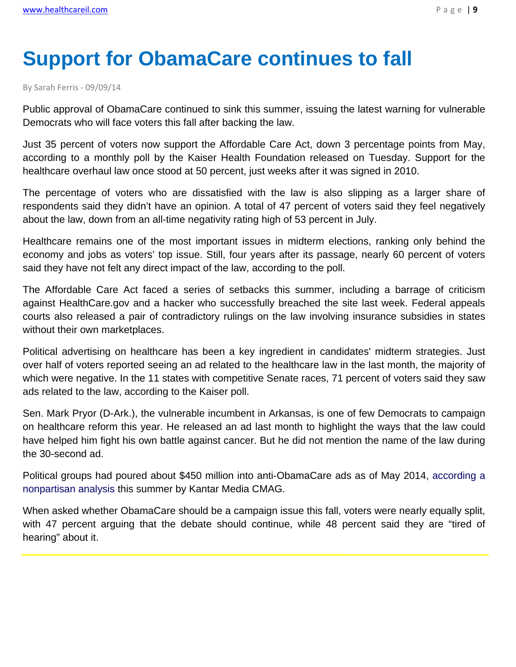## **Support for ObamaCare continues to fall**

By Sarah Ferris ‐ 09/09/14

Public approval of ObamaCare continued to sink this summer, issuing the latest warning for vulnerable Democrats who will face voters this fall after backing the law.

Just 35 percent of voters now support the Affordable Care Act, down 3 percentage points from May, according to a monthly poll by the Kaiser Health Foundation released on Tuesday. Support for the healthcare overhaul law once stood at 50 percent, just weeks after it was signed in 2010.

The percentage of voters who are dissatisfied with the law is also slipping as a larger share of respondents said they didn't have an opinion. A total of 47 percent of voters said they feel negatively about the law, down from an all-time negativity rating high of 53 percent in July.

Healthcare remains one of the most important issues in midterm elections, ranking only behind the economy and jobs as voters' top issue. Still, four years after its passage, nearly 60 percent of voters said they have not felt any direct impact of the law, according to the poll.

The Affordable Care Act faced a series of setbacks this summer, including a barrage of criticism against HealthCare.gov and a hacker who successfully breached the site last week. Federal appeals courts also released a pair of contradictory rulings on the law involving insurance subsidies in states without their own marketplaces.

Political advertising on healthcare has been a key ingredient in candidates' midterm strategies. Just over half of voters reported seeing an ad related to the healthcare law in the last month, the majority of which were negative. In the 11 states with competitive Senate races, 71 percent of voters said they saw ads related to the law, according to the Kaiser poll.

Sen. Mark Pryor (D-Ark.), the vulnerable incumbent in Arkansas, is one of few Democrats to campaign on healthcare reform this year. He released an ad last month to highlight the ways that the law could have helped him fight his own battle against cancer. But he did not mention the name of the law during the 30-second ad.

Political groups had poured about \$450 million into anti-ObamaCare ads as of May 2014, according a nonpartisan analysis this summer by Kantar Media CMAG.

When asked whether ObamaCare should be a campaign issue this fall, voters were nearly equally split, with 47 percent arguing that the debate should continue, while 48 percent said they are "tired of hearing" about it.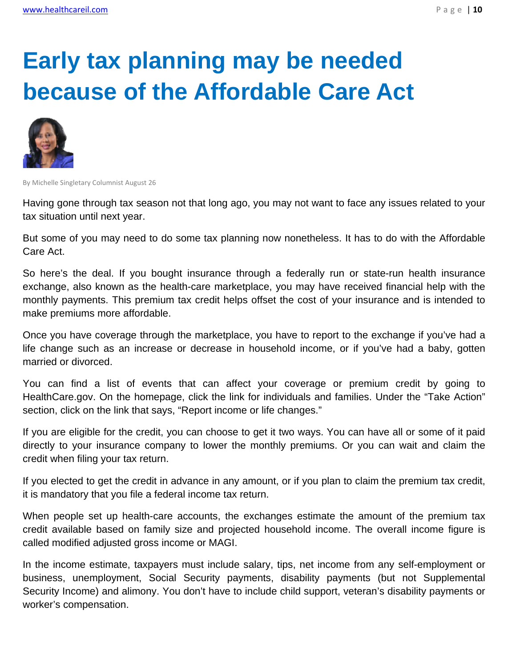# **Early tax planning may be needed because of the Affordable Care Act**



By Michelle Singletary Columnist August 26

Having gone through tax season not that long ago, you may not want to face any issues related to your tax situation until next year.

But some of you may need to do some tax planning now nonetheless. It has to do with the Affordable Care Act.

So here's the deal. If you bought insurance through a federally run or state-run health insurance exchange, also known as the health-care marketplace, you may have received financial help with the monthly payments. This premium tax credit helps offset the cost of your insurance and is intended to make premiums more affordable.

Once you have coverage through the marketplace, you have to report to the exchange if you've had a life change such as an increase or decrease in household income, or if you've had a baby, gotten married or divorced.

You can find a list of events that can affect your coverage or premium credit by going to HealthCare.gov. On the homepage, click the link for individuals and families. Under the "Take Action" section, click on the link that says, "Report income or life changes."

If you are eligible for the credit, you can choose to get it two ways. You can have all or some of it paid directly to your insurance company to lower the monthly premiums. Or you can wait and claim the credit when filing your tax return.

If you elected to get the credit in advance in any amount, or if you plan to claim the premium tax credit, it is mandatory that you file a federal income tax return.

When people set up health-care accounts, the exchanges estimate the amount of the premium tax credit available based on family size and projected household income. The overall income figure is called modified adjusted gross income or MAGI.

In the income estimate, taxpayers must include salary, tips, net income from any self-employment or business, unemployment, Social Security payments, disability payments (but not Supplemental Security Income) and alimony. You don't have to include child support, veteran's disability payments or worker's compensation.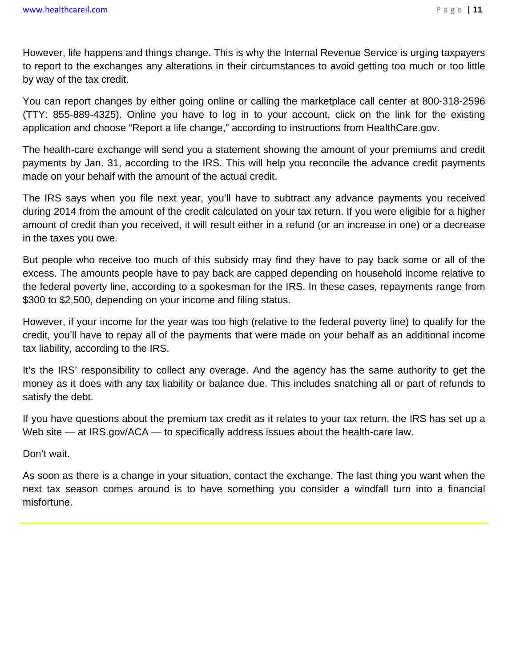However, life happens and things change. This is why the Internal Revenue Service is urging taxpayers to report to the exchanges any alterations in their circumstances to avoid getting too much or too little by way of the tax credit.

You can report changes by either going online or calling the marketplace call center at 800-318-2596 (TTY: 855-889-4325). Online you have to log in to your account, click on the link for the existing application and choose "Report a life change," according to instructions from HealthCare.gov.

The health-care exchange will send you a statement showing the amount of your premiums and credit payments by Jan. 31, according to the IRS. This will help you reconcile the advance credit payments made on your behalf with the amount of the actual credit.

The IRS says when you file next year, you'll have to subtract any advance payments you received during 2014 from the amount of the credit calculated on your tax return. If you were eligible for a higher amount of credit than you received, it will result either in a refund (or an increase in one) or a decrease in the taxes you owe.

But people who receive too much of this subsidy may find they have to pay back some or all of the excess. The amounts people have to pay back are capped depending on household income relative to the federal poverty line, according to a spokesman for the IRS. In these cases, repayments range from \$300 to \$2,500, depending on your income and filing status.

However, if your income for the year was too high (relative to the federal poverty line) to qualify for the credit, you'll have to repay all of the payments that were made on your behalf as an additional income tax liability, according to the IRS.

It's the IRS' responsibility to collect any overage. And the agency has the same authority to get the money as it does with any tax liability or balance due. This includes snatching all or part of refunds to satisfy the debt.

If you have questions about the premium tax credit as it relates to your tax return, the IRS has set up a Web site — at IRS.gov/ACA — to specifically address issues about the health-care law.

Don't wait.

As soon as there is a change in your situation, contact the exchange. The last thing you want when the next tax season comes around is to have something you consider a windfall turn into a financial misfortune.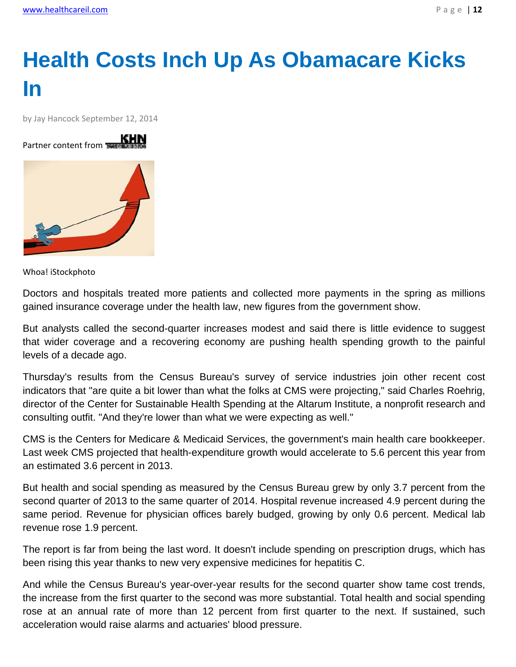# **Health Costs Inch Up As Obamacare Kicks In**

by Jay Hancock September 12, 2014





Whoa! iStockphoto

Doctors and hospitals treated more patients and collected more payments in the spring as millions gained insurance coverage under the health law, new figures from the government show.

But analysts called the second-quarter increases modest and said there is little evidence to suggest that wider coverage and a recovering economy are pushing health spending growth to the painful levels of a decade ago.

Thursday's results from the Census Bureau's survey of service industries join other recent cost indicators that "are quite a bit lower than what the folks at CMS were projecting," said Charles Roehrig, director of the Center for Sustainable Health Spending at the Altarum Institute, a nonprofit research and consulting outfit. "And they're lower than what we were expecting as well."

CMS is the Centers for Medicare & Medicaid Services, the government's main health care bookkeeper. Last week CMS projected that health-expenditure growth would accelerate to 5.6 percent this year from an estimated 3.6 percent in 2013.

But health and social spending as measured by the Census Bureau grew by only 3.7 percent from the second quarter of 2013 to the same quarter of 2014. Hospital revenue increased 4.9 percent during the same period. Revenue for physician offices barely budged, growing by only 0.6 percent. Medical lab revenue rose 1.9 percent.

The report is far from being the last word. It doesn't include spending on prescription drugs, which has been rising this year thanks to new very expensive medicines for hepatitis C.

And while the Census Bureau's year-over-year results for the second quarter show tame cost trends, the increase from the first quarter to the second was more substantial. Total health and social spending rose at an annual rate of more than 12 percent from first quarter to the next. If sustained, such acceleration would raise alarms and actuaries' blood pressure.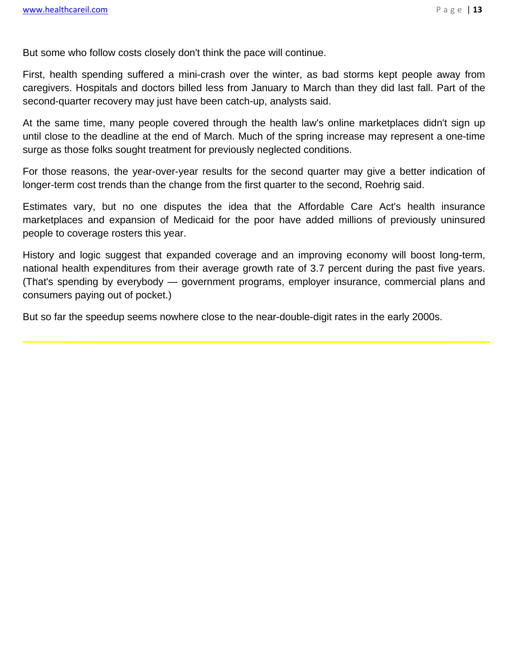But some who follow costs closely don't think the pace will continue.

First, health spending suffered a mini-crash over the winter, as bad storms kept people away from caregivers. Hospitals and doctors billed less from January to March than they did last fall. Part of the second-quarter recovery may just have been catch-up, analysts said.

At the same time, many people covered through the health law's online marketplaces didn't sign up until close to the deadline at the end of March. Much of the spring increase may represent a one-time surge as those folks sought treatment for previously neglected conditions.

For those reasons, the year-over-year results for the second quarter may give a better indication of longer-term cost trends than the change from the first quarter to the second, Roehrig said.

Estimates vary, but no one disputes the idea that the Affordable Care Act's health insurance marketplaces and expansion of Medicaid for the poor have added millions of previously uninsured people to coverage rosters this year.

History and logic suggest that expanded coverage and an improving economy will boost long-term, national health expenditures from their average growth rate of 3.7 percent during the past five years. (That's spending by everybody — government programs, employer insurance, commercial plans and consumers paying out of pocket.)

But so far the speedup seems nowhere close to the near-double-digit rates in the early 2000s.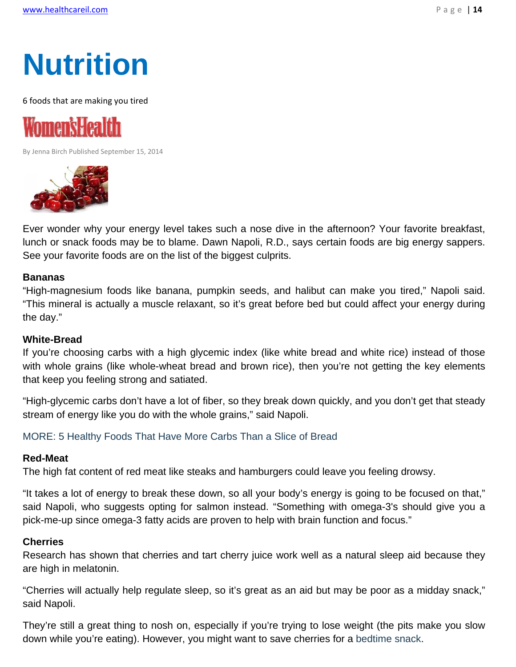# **Nutrition**

6 foods that are making you tired



By Jenna Birch Published September 15, 2014



Ever wonder why your energy level takes such a nose dive in the afternoon? Your favorite breakfast, lunch or snack foods may be to blame. Dawn Napoli, R.D., says certain foods are big energy sappers. See your favorite foods are on the list of the biggest culprits.

### **Bananas**

"High-magnesium foods like banana, pumpkin seeds, and halibut can make you tired," Napoli said. "This mineral is actually a muscle relaxant, so it's great before bed but could affect your energy during the day."

#### **White-Bread**

If you're choosing carbs with a high glycemic index (like white bread and white rice) instead of those with whole grains (like whole-wheat bread and brown rice), then you're not getting the key elements that keep you feeling strong and satiated.

"High-glycemic carbs don't have a lot of fiber, so they break down quickly, and you don't get that steady stream of energy like you do with the whole grains," said Napoli.

### MORE: 5 Healthy Foods That Have More Carbs Than a Slice of Bread

### **Red-Meat**

The high fat content of red meat like steaks and hamburgers could leave you feeling drowsy.

"It takes a lot of energy to break these down, so all your body's energy is going to be focused on that," said Napoli, who suggests opting for salmon instead. "Something with omega-3's should give you a pick-me-up since omega-3 fatty acids are proven to help with brain function and focus."

### **Cherries**

Research has shown that cherries and tart cherry juice work well as a natural sleep aid because they are high in melatonin.

"Cherries will actually help regulate sleep, so it's great as an aid but may be poor as a midday snack," said Napoli.

They're still a great thing to nosh on, especially if you're trying to lose weight (the pits make you slow down while you're eating). However, you might want to save cherries for a bedtime snack.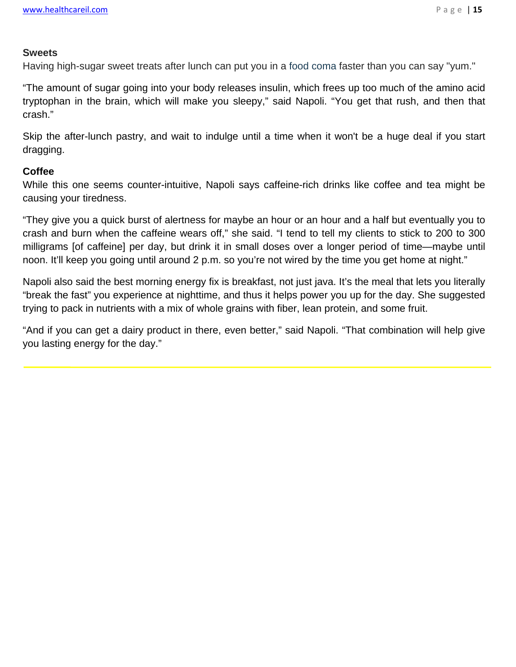### **Sweets**

Having high-sugar sweet treats after lunch can put you in a food coma faster than you can say "yum."

"The amount of sugar going into your body releases insulin, which frees up too much of the amino acid tryptophan in the brain, which will make you sleepy," said Napoli. "You get that rush, and then that crash."

Skip the after-lunch pastry, and wait to indulge until a time when it won't be a huge deal if you start dragging.

### **Coffee**

While this one seems counter-intuitive, Napoli says caffeine-rich drinks like coffee and tea might be causing your tiredness.

"They give you a quick burst of alertness for maybe an hour or an hour and a half but eventually you to crash and burn when the caffeine wears off," she said. "I tend to tell my clients to stick to 200 to 300 milligrams [of caffeine] per day, but drink it in small doses over a longer period of time—maybe until noon. It'll keep you going until around 2 p.m. so you're not wired by the time you get home at night."

Napoli also said the best morning energy fix is breakfast, not just java. It's the meal that lets you literally "break the fast" you experience at nighttime, and thus it helps power you up for the day. She suggested trying to pack in nutrients with a mix of whole grains with fiber, lean protein, and some fruit.

"And if you can get a dairy product in there, even better," said Napoli. "That combination will help give you lasting energy for the day."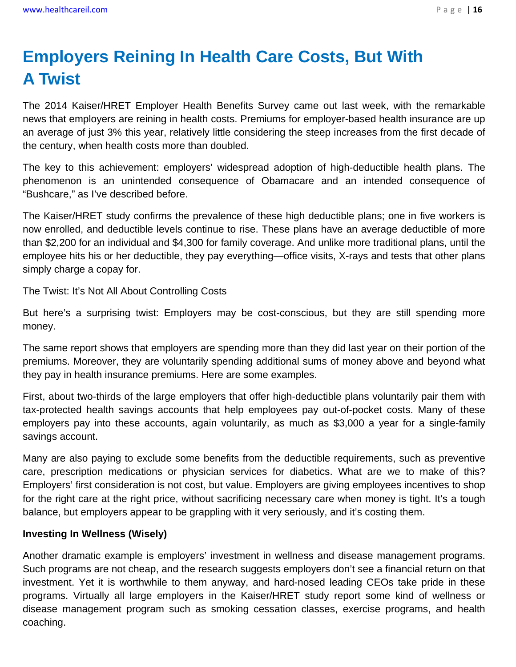### **Employers Reining In Health Care Costs, But With A Twist**

The 2014 Kaiser/HRET Employer Health Benefits Survey came out last week, with the remarkable news that employers are reining in health costs. Premiums for employer-based health insurance are up an average of just 3% this year, relatively little considering the steep increases from the first decade of the century, when health costs more than doubled.

The key to this achievement: employers' widespread adoption of high-deductible health plans. The phenomenon is an unintended consequence of Obamacare and an intended consequence of "Bushcare," as I've described before.

The Kaiser/HRET study confirms the prevalence of these high deductible plans; one in five workers is now enrolled, and deductible levels continue to rise. These plans have an average deductible of more than \$2,200 for an individual and \$4,300 for family coverage. And unlike more traditional plans, until the employee hits his or her deductible, they pay everything—office visits, X-rays and tests that other plans simply charge a copay for.

The Twist: It's Not All About Controlling Costs

But here's a surprising twist: Employers may be cost-conscious, but they are still spending more money.

The same report shows that employers are spending more than they did last year on their portion of the premiums. Moreover, they are voluntarily spending additional sums of money above and beyond what they pay in health insurance premiums. Here are some examples.

First, about two-thirds of the large employers that offer high-deductible plans voluntarily pair them with tax-protected health savings accounts that help employees pay out-of-pocket costs. Many of these employers pay into these accounts, again voluntarily, as much as \$3,000 a year for a single-family savings account.

Many are also paying to exclude some benefits from the deductible requirements, such as preventive care, prescription medications or physician services for diabetics. What are we to make of this? Employers' first consideration is not cost, but value. Employers are giving employees incentives to shop for the right care at the right price, without sacrificing necessary care when money is tight. It's a tough balance, but employers appear to be grappling with it very seriously, and it's costing them.

### **Investing In Wellness (Wisely)**

Another dramatic example is employers' investment in wellness and disease management programs. Such programs are not cheap, and the research suggests employers don't see a financial return on that investment. Yet it is worthwhile to them anyway, and hard-nosed leading CEOs take pride in these programs. Virtually all large employers in the Kaiser/HRET study report some kind of wellness or disease management program such as smoking cessation classes, exercise programs, and health coaching.